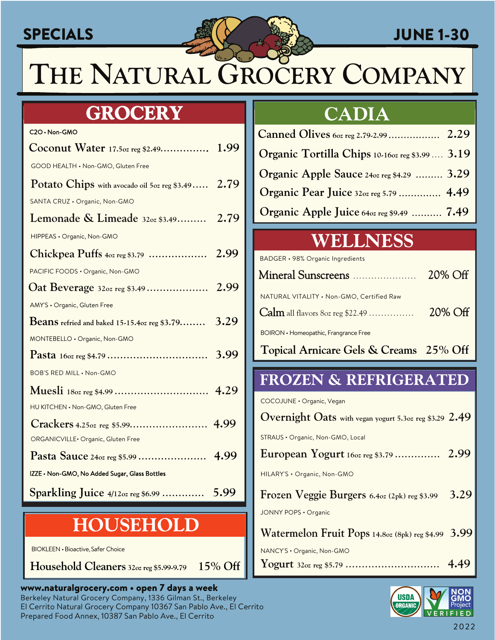### **SPECIALS**



### **JUNE 1-30**

THE NATURAL GROCERY COMPANY

### **GROCERY**

| C2O · Non-GMO                                          |      |
|--------------------------------------------------------|------|
| Coconut Water 17.50z reg \$2.49 1.99                   |      |
| GOOD HEALTH . Non-GMO, Gluten Free                     |      |
| Potato Chips with avocado oil 5oz reg \$3.49 2.79      |      |
| SANTA CRUZ · Organic, Non-GMO                          |      |
| Lemonade & Limeade 320z \$3.49 2.79                    |      |
| HIPPEAS . Organic, Non-GMO                             |      |
|                                                        |      |
| PACIFIC FOODS . Organic, Non-GMO                       |      |
| Oat Beverage 320z reg \$3.49  2.99                     |      |
| AMY'S · Organic, Gluten Free                           |      |
| <b>Beans</b> refried and baked $15-15.4$ oz reg \$3.79 | 3.29 |
| MONTEBELLO . Organic, Non-GMO                          |      |
|                                                        |      |
| <b>BOB'S RED MILL . Non-GMO</b>                        |      |
|                                                        |      |
| HU KITCHEN . Non-GMO, Gluten Free                      |      |
|                                                        |      |
| ORGANICVILLE · Organic, Gluten Free                    |      |
|                                                        |      |
| IZZE . Non-GMO, No Added Sugar, Glass Bottles          |      |
| $Sparkling$ Juice $4/12$ oz reg \$6.99                 | 5.99 |

### **HOUSEHOLD**

BIOKLEEN . Bioactive, Safer Choice

15% Off Household Cleaners 32oz reg \$5.99-9.79

### www.naturalgrocery.com • open 7 days a week Berkeley Natural Grocery Company, 1336 Gilman St., Berkeley El Cerrito Natural Grocery Company 10367 San Pablo Ave., El Cerrito Prepared Food Annex, 10387 San Pablo Ave., El Cerrito

### **CADIA**

| Organic Tortilla Chips 10-160z reg \$3.99  3.19 |  |
|-------------------------------------------------|--|
| Organic Apple Sauce 240z reg \$4.29  3.29       |  |
| Organic Pear Juice 320z reg 5.79  4.49          |  |
| Organic Apple Juice 640z reg \$9.49  7.49       |  |

## WELLNESS

**BADGER · 98% Organic Ingredients** 

| Mineral Sunscreens                        | 20% Off |
|-------------------------------------------|---------|
| NATURAL VITALITY . Non-GMO, Certified Raw | 20% Off |
| BOIRON • Homeopathic, Frangrance Free     |         |
| Topical Arnicare Gels & Creams 25% Off    |         |

### **FROZEN & REFRIGERATED**

COCOJUNE · Organic, Vegan

| Overnight Oats with vegan yogurt 5.3oz reg \$3.29 2.49 |      |
|--------------------------------------------------------|------|
| STRAUS • Organic, Non-GMO, Local                       |      |
|                                                        |      |
| HILARY'S . Organic, Non-GMO                            |      |
| Frozen Veggie Burgers 6.4oz (2pk) reg \$3.99           | 3.29 |
| JONNY POPS · Organic                                   |      |
| Watermelon Fruit Pops 14.8oz (8pk) reg \$4.99 3.99     |      |
| NANCY'S . Organic, Non-GMO                             |      |
|                                                        |      |

**USDA** GMO **ORGANIC** FIFD